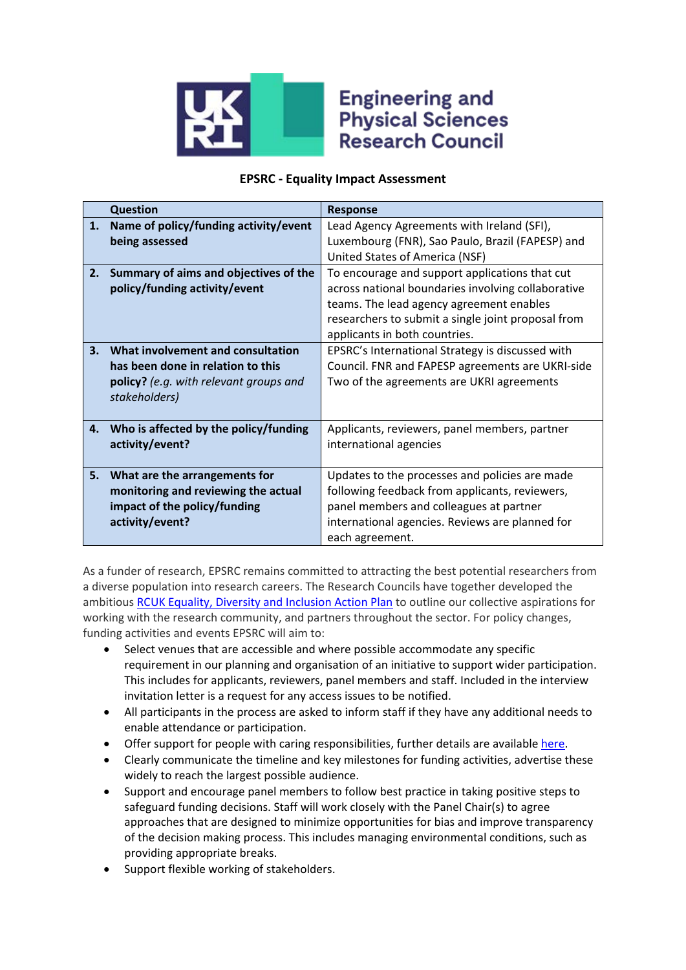

## **Engineering and Physical Sciences Research Council**

## **EPSRC - Equality Impact Assessment**

|    | <b>Question</b>                                                                                                                          | <b>Response</b>                                                                                                                                                                                                                         |
|----|------------------------------------------------------------------------------------------------------------------------------------------|-----------------------------------------------------------------------------------------------------------------------------------------------------------------------------------------------------------------------------------------|
| 1. | Name of policy/funding activity/event<br>being assessed                                                                                  | Lead Agency Agreements with Ireland (SFI),<br>Luxembourg (FNR), Sao Paulo, Brazil (FAPESP) and<br>United States of America (NSF)                                                                                                        |
| 2. | Summary of aims and objectives of the<br>policy/funding activity/event                                                                   | To encourage and support applications that cut<br>across national boundaries involving collaborative<br>teams. The lead agency agreement enables<br>researchers to submit a single joint proposal from<br>applicants in both countries. |
| 3. | What involvement and consultation<br>has been done in relation to this<br><b>policy?</b> (e.g. with relevant groups and<br>stakeholders) | EPSRC's International Strategy is discussed with<br>Council. FNR and FAPESP agreements are UKRI-side<br>Two of the agreements are UKRI agreements                                                                                       |
| 4. | Who is affected by the policy/funding<br>activity/event?                                                                                 | Applicants, reviewers, panel members, partner<br>international agencies                                                                                                                                                                 |
| 5. | What are the arrangements for<br>monitoring and reviewing the actual<br>impact of the policy/funding<br>activity/event?                  | Updates to the processes and policies are made<br>following feedback from applicants, reviewers,<br>panel members and colleagues at partner<br>international agencies. Reviews are planned for<br>each agreement.                       |

As a funder of research, EPSRC remains committed to attracting the best potential researchers from a diverse population into research careers. The Research Councils have together developed the ambitious [RCUK Equality, Diversity and Inclusion Action Plan](https://www.ukri.org/files/legacy/documents/actionplan2016-pdf/) to outline our collective aspirations for working with the research community, and partners throughout the sector. For policy changes, funding activities and events EPSRC will aim to:

- Select venues that are accessible and where possible accommodate any specific requirement in our planning and organisation of an initiative to support wider participation. This includes for applicants, reviewers, panel members and staff. Included in the interview invitation letter is a request for any access issues to be notified.
- All participants in the process are asked to inform staff if they have any additional needs to enable attendance or participation.
- Offer support for people with caring responsibilities, further details are available [here.](https://epsrc.ukri.org/funding/applicationprocess/basics/caringresponsibilities/)
- Clearly communicate the timeline and key milestones for funding activities, advertise these widely to reach the largest possible audience.
- Support and encourage panel members to follow best practice in taking positive steps to safeguard funding decisions. Staff will work closely with the Panel Chair(s) to agree approaches that are designed to minimize opportunities for bias and improve transparency of the decision making process. This includes managing environmental conditions, such as providing appropriate breaks.
- Support flexible working of stakeholders.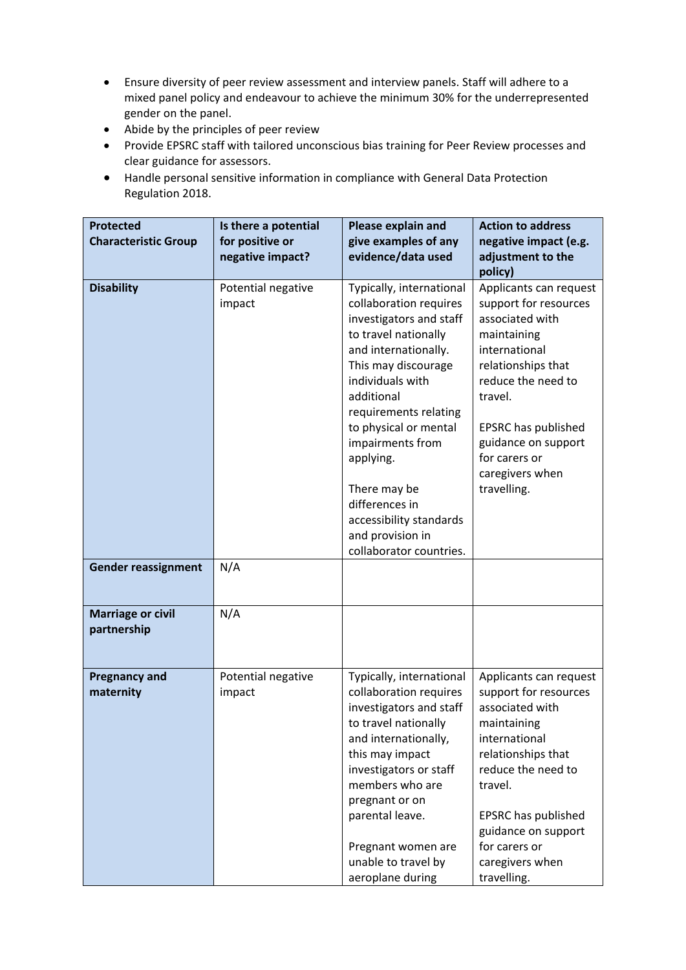- Ensure diversity of peer review assessment and interview panels. Staff will adhere to a mixed panel policy and endeavour to achieve the minimum 30% for the underrepresented gender on the panel.
- Abide by the principles of peer review
- Provide EPSRC staff with tailored unconscious bias training for Peer Review processes and clear guidance for assessors.
- Handle personal sensitive information in compliance with General Data Protection Regulation 2018.

| <b>Protected</b><br><b>Characteristic Group</b> | Is there a potential<br>for positive or<br>negative impact? | Please explain and<br>give examples of any<br>evidence/data used                                                                                                                                                                                                                                                                                                                      | <b>Action to address</b><br>negative impact (e.g.<br>adjustment to the<br>policy)                                                                                                                                                                          |
|-------------------------------------------------|-------------------------------------------------------------|---------------------------------------------------------------------------------------------------------------------------------------------------------------------------------------------------------------------------------------------------------------------------------------------------------------------------------------------------------------------------------------|------------------------------------------------------------------------------------------------------------------------------------------------------------------------------------------------------------------------------------------------------------|
| <b>Disability</b>                               | Potential negative<br>impact                                | Typically, international<br>collaboration requires<br>investigators and staff<br>to travel nationally<br>and internationally.<br>This may discourage<br>individuals with<br>additional<br>requirements relating<br>to physical or mental<br>impairments from<br>applying.<br>There may be<br>differences in<br>accessibility standards<br>and provision in<br>collaborator countries. | Applicants can request<br>support for resources<br>associated with<br>maintaining<br>international<br>relationships that<br>reduce the need to<br>travel.<br>EPSRC has published<br>guidance on support<br>for carers or<br>caregivers when<br>travelling. |
| <b>Gender reassignment</b>                      | N/A                                                         |                                                                                                                                                                                                                                                                                                                                                                                       |                                                                                                                                                                                                                                                            |
| <b>Marriage or civil</b><br>partnership         | N/A                                                         |                                                                                                                                                                                                                                                                                                                                                                                       |                                                                                                                                                                                                                                                            |
| <b>Pregnancy and</b><br>maternity               | Potential negative<br>impact                                | Typically, international<br>collaboration requires<br>investigators and staff<br>to travel nationally<br>and internationally,<br>this may impact<br>investigators or staff<br>members who are<br>pregnant or on<br>parental leave.<br>Pregnant women are<br>unable to travel by<br>aeroplane during                                                                                   | Applicants can request<br>support for resources<br>associated with<br>maintaining<br>international<br>relationships that<br>reduce the need to<br>travel.<br>EPSRC has published<br>guidance on support<br>for carers or<br>caregivers when<br>travelling. |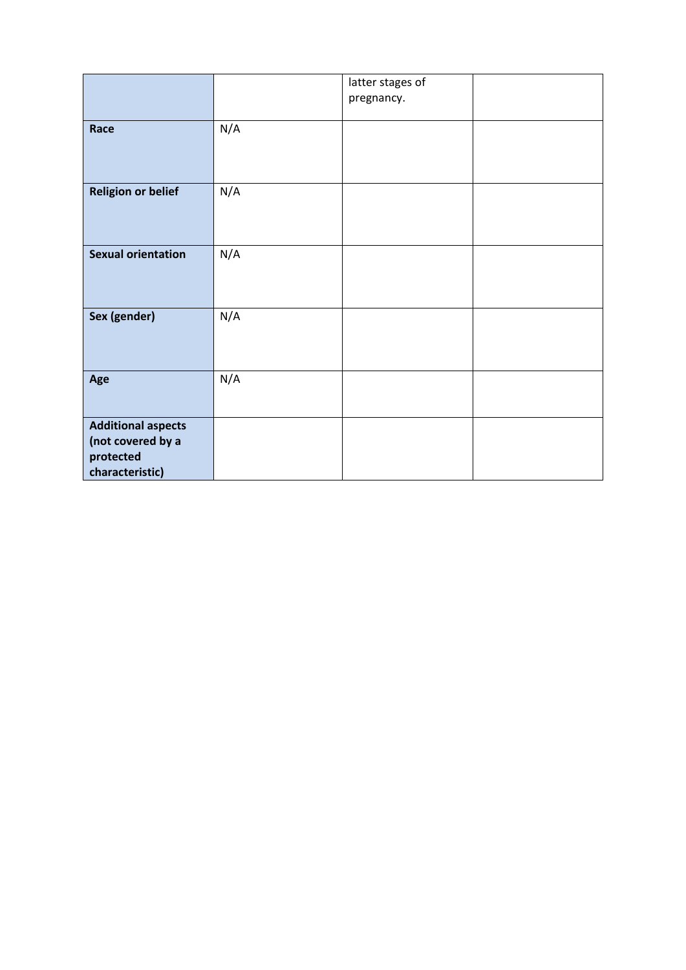|                                                                                |     | latter stages of<br>pregnancy. |  |
|--------------------------------------------------------------------------------|-----|--------------------------------|--|
| Race                                                                           | N/A |                                |  |
|                                                                                |     |                                |  |
| <b>Religion or belief</b>                                                      | N/A |                                |  |
| <b>Sexual orientation</b>                                                      | N/A |                                |  |
| Sex (gender)                                                                   | N/A |                                |  |
| Age                                                                            | N/A |                                |  |
| <b>Additional aspects</b><br>(not covered by a<br>protected<br>characteristic) |     |                                |  |